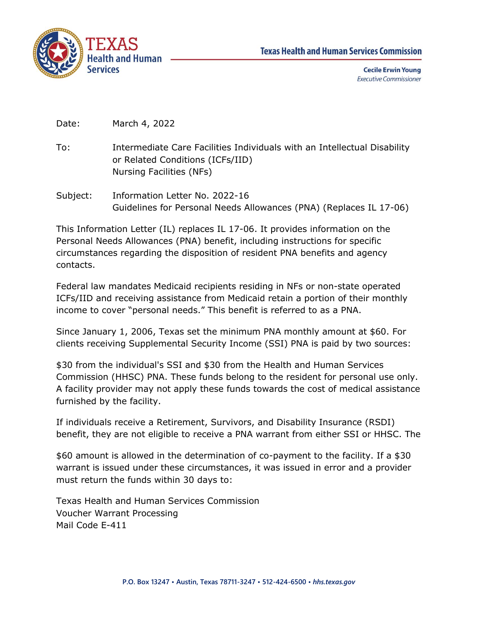

Date: March 4, 2022

- To: Intermediate Care Facilities Individuals with an Intellectual Disability or Related Conditions (ICFs/IID) Nursing Facilities (NFs)
- Subject: Information Letter No. 2022-16 Guidelines for Personal Needs Allowances (PNA) (Replaces IL 17-06)

This Information Letter (IL) replaces IL 17-06. It provides information on the Personal Needs Allowances (PNA) benefit, including instructions for specific circumstances regarding the disposition of resident PNA benefits and agency contacts.

Federal law mandates Medicaid recipients residing in NFs or non-state operated ICFs/IID and receiving assistance from Medicaid retain a portion of their monthly income to cover "personal needs." This benefit is referred to as a PNA.

Since January 1, 2006, Texas set the minimum PNA monthly amount at \$60. For clients receiving Supplemental Security Income (SSI) PNA is paid by two sources:

\$30 from the individual's SSI and \$30 from the Health and Human Services Commission (HHSC) PNA. These funds belong to the resident for personal use only. A facility provider may not apply these funds towards the cost of medical assistance furnished by the facility.

If individuals receive a Retirement, Survivors, and Disability Insurance (RSDI) benefit, they are not eligible to receive a PNA warrant from either SSI or HHSC. The

\$60 amount is allowed in the determination of co-payment to the facility. If a \$30 warrant is issued under these circumstances, it was issued in error and a provider must return the funds within 30 days to:

Texas Health and Human Services Commission Voucher Warrant Processing Mail Code E-411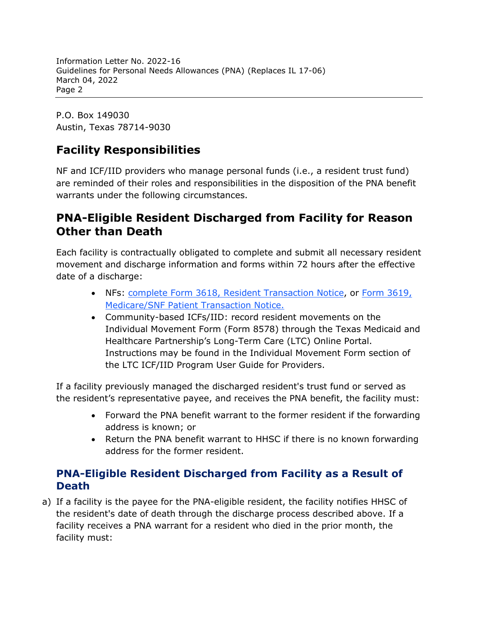Information Letter No. 2022-16 Guidelines for Personal Needs Allowances (PNA) (Replaces IL 17-06) March 04, 2022 Page 2

P.O. Box 149030 Austin, Texas 78714-9030

## **Facility Responsibilities**

NF and ICF/IID providers who manage personal funds (i.e., a resident trust fund) are reminded of their roles and responsibilities in the disposition of the PNA benefit warrants under the following circumstances.

## **PNA-Eligible Resident Discharged from Facility for Reason Other than Death**

Each facility is contractually obligated to complete and submit all necessary resident movement and discharge information and forms within 72 hours after the effective date of a discharge:

- NFs: [complete Form 3618, Resident Transaction Notice,](https://www.hhs.texas.gov/regulations/forms/3000-3999/form-3618-resident-transaction-notice) or [Form 3619,](https://www.hhs.texas.gov/regulations/forms/3000-3999/form-3619-medicareskilled-nursing-facility-patient-transaction-notice) [Medicare/SNF Patient Transaction Notice.](https://www.hhs.texas.gov/regulations/forms/3000-3999/form-3619-medicareskilled-nursing-facility-patient-transaction-notice)
- Community-based ICFs/IID: record resident movements on the Individual Movement Form (Form 8578) through the Texas Medicaid and Healthcare Partnership's Long-Term Care (LTC) Online Portal. Instructions may be found in the Individual Movement Form section of the LTC ICF/IID Program User Guide for Providers.

If a facility previously managed the discharged resident's trust fund or served as the resident's representative payee, and receives the PNA benefit, the facility must:

- Forward the PNA benefit warrant to the former resident if the forwarding address is known; or
- Return the PNA benefit warrant to HHSC if there is no known forwarding address for the former resident.

## **PNA-Eligible Resident Discharged from Facility as a Result of Death**

a) If a facility is the payee for the PNA-eligible resident, the facility notifies HHSC of the resident's date of death through the discharge process described above. If a facility receives a PNA warrant for a resident who died in the prior month, the facility must: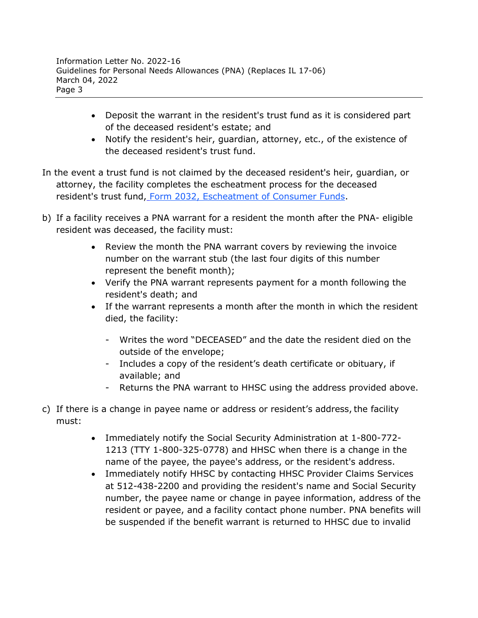- Deposit the warrant in the resident's trust fund as it is considered part of the deceased resident's estate; and
- Notify the resident's heir, guardian, attorney, etc., of the existence of the deceased resident's trust fund.
- In the event a trust fund is not claimed by the deceased resident's heir, guardian, or attorney, the facility completes the escheatment process for the deceased resident's trust fund, [Form 2032, Escheatment of Consumer Funds.](https://www.hhs.texas.gov/regulations/forms/2000-2999/form-2032-escheatment-consumer-funds)
- b) If a facility receives a PNA warrant for a resident the month after the PNA- eligible resident was deceased, the facility must:
	- Review the month the PNA warrant covers by reviewing the invoice number on the warrant stub (the last four digits of this number represent the benefit month);
	- Verify the PNA warrant represents payment for a month following the resident's death; and
	- If the warrant represents a month after the month in which the resident died, the facility:
		- Writes the word "DECEASED" and the date the resident died on the outside of the envelope;
		- Includes a copy of the resident's death certificate or obituary, if available; and
		- Returns the PNA warrant to HHSC using the address provided above.
- c) If there is a change in payee name or address or resident's address, the facility must:
	- Immediately notify the Social Security Administration at 1-800-772- 1213 (TTY 1-800-325-0778) and HHSC when there is a change in the name of the payee, the payee's address, or the resident's address.
	- Immediately notify HHSC by contacting HHSC Provider Claims Services at 512-438-2200 and providing the resident's name and Social Security number, the payee name or change in payee information, address of the resident or payee, and a facility contact phone number. PNA benefits will be suspended if the benefit warrant is returned to HHSC due to invalid